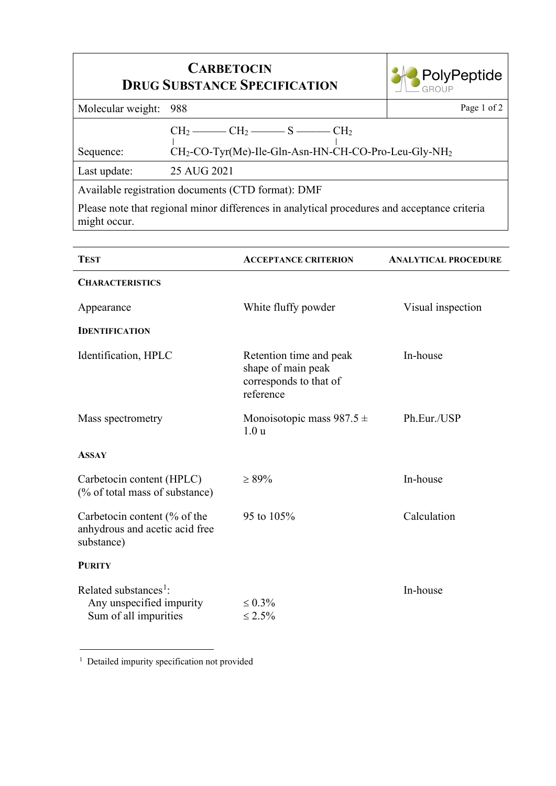| <b>CARBETOCIN</b><br><b>DRUG SUBSTANCE SPECIFICATION</b>                                                     |                                                                                                                | <b>PolyPeptide</b> |  |  |
|--------------------------------------------------------------------------------------------------------------|----------------------------------------------------------------------------------------------------------------|--------------------|--|--|
| Molecular weight:                                                                                            | 988                                                                                                            | Page 1 of 2        |  |  |
| Sequence:                                                                                                    | $CH_2$ — $CH_2$ — $S$ — $CH_2$<br>CH <sub>2</sub> -CO-Tyr(Me)-Ile-Gln-Asn-HN-CH-CO-Pro-Leu-Gly-NH <sub>2</sub> |                    |  |  |
| Last update:                                                                                                 | 25 AUG 2021                                                                                                    |                    |  |  |
| Available registration documents (CTD format): DMF                                                           |                                                                                                                |                    |  |  |
| Please note that regional minor differences in analytical procedures and acceptance criteria<br>might occur. |                                                                                                                |                    |  |  |

| <b>TEST</b>                                                                            | <b>ACCEPTANCE CRITERION</b>                                                          | <b>ANALYTICAL PROCEDURE</b> |
|----------------------------------------------------------------------------------------|--------------------------------------------------------------------------------------|-----------------------------|
| <b>CHARACTERISTICS</b>                                                                 |                                                                                      |                             |
| Appearance                                                                             | White fluffy powder                                                                  | Visual inspection           |
| <b>IDENTIFICATION</b>                                                                  |                                                                                      |                             |
| Identification, HPLC                                                                   | Retention time and peak<br>shape of main peak<br>corresponds to that of<br>reference | In-house                    |
| Mass spectrometry                                                                      | Monoisotopic mass $987.5 \pm$<br>1.0 <sub>u</sub>                                    | Ph.Eur./USP                 |
| <b>ASSAY</b>                                                                           |                                                                                      |                             |
| Carbetocin content (HPLC)<br>(% of total mass of substance)                            | $\geq 89\%$                                                                          | In-house                    |
| Carbetocin content (% of the<br>anhydrous and acetic acid free<br>substance)           | 95 to 105%                                                                           | Calculation                 |
| <b>PURITY</b>                                                                          |                                                                                      |                             |
| Related substances <sup>1</sup> :<br>Any unspecified impurity<br>Sum of all impurities | $\leq 0.3\%$<br>$\leq 2.5\%$                                                         | In-house                    |

<span id="page-0-0"></span><sup>1</sup> Detailed impurity specification not provided

r